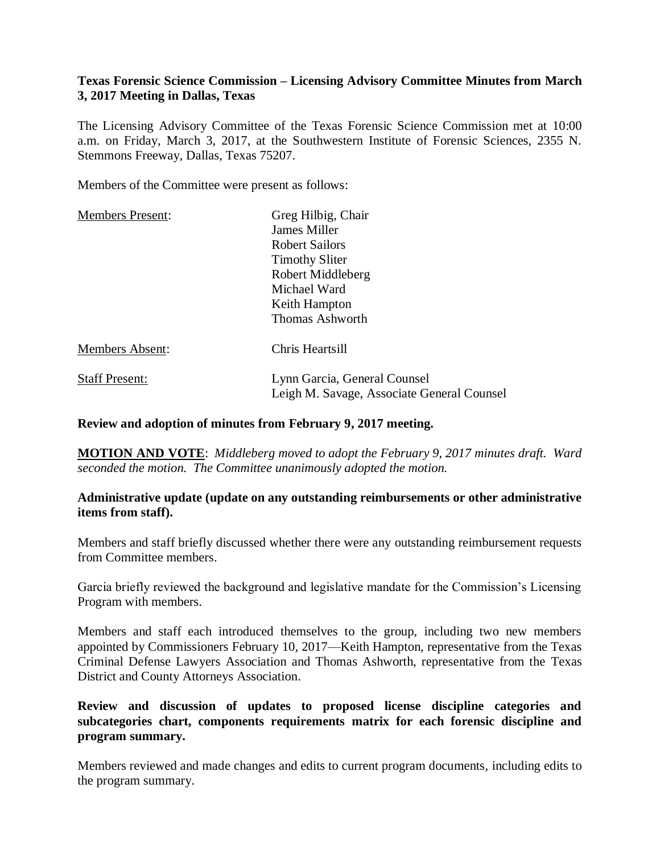## **Texas Forensic Science Commission – Licensing Advisory Committee Minutes from March 3, 2017 Meeting in Dallas, Texas**

The Licensing Advisory Committee of the Texas Forensic Science Commission met at 10:00 a.m. on Friday, March 3, 2017, at the Southwestern Institute of Forensic Sciences, 2355 N. Stemmons Freeway, Dallas, Texas 75207.

Members of the Committee were present as follows:

| <b>Members Present:</b> | Greg Hilbig, Chair                                                         |
|-------------------------|----------------------------------------------------------------------------|
|                         | James Miller                                                               |
|                         | Robert Sailors                                                             |
|                         | <b>Timothy Sliter</b>                                                      |
|                         | Robert Middleberg                                                          |
|                         | Michael Ward                                                               |
|                         | Keith Hampton                                                              |
|                         | <b>Thomas Ashworth</b>                                                     |
| Members Absent:         | Chris Heartsill                                                            |
| <b>Staff Present:</b>   | Lynn Garcia, General Counsel<br>Leigh M. Savage, Associate General Counsel |
|                         |                                                                            |

#### **Review and adoption of minutes from February 9, 2017 meeting.**

**MOTION AND VOTE**: *Middleberg moved to adopt the February 9, 2017 minutes draft. Ward seconded the motion. The Committee unanimously adopted the motion.*

#### **Administrative update (update on any outstanding reimbursements or other administrative items from staff).**

Members and staff briefly discussed whether there were any outstanding reimbursement requests from Committee members.

Garcia briefly reviewed the background and legislative mandate for the Commission's Licensing Program with members.

Members and staff each introduced themselves to the group, including two new members appointed by Commissioners February 10, 2017—Keith Hampton, representative from the Texas Criminal Defense Lawyers Association and Thomas Ashworth, representative from the Texas District and County Attorneys Association.

**Review and discussion of updates to proposed license discipline categories and subcategories chart, components requirements matrix for each forensic discipline and program summary.**

Members reviewed and made changes and edits to current program documents, including edits to the program summary.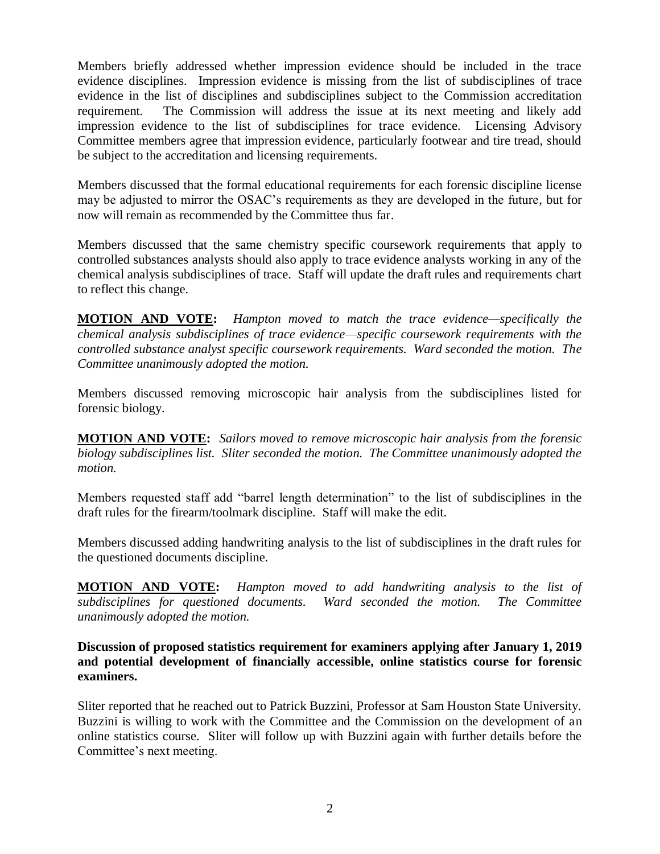Members briefly addressed whether impression evidence should be included in the trace evidence disciplines. Impression evidence is missing from the list of subdisciplines of trace evidence in the list of disciplines and subdisciplines subject to the Commission accreditation requirement. The Commission will address the issue at its next meeting and likely add impression evidence to the list of subdisciplines for trace evidence. Licensing Advisory Committee members agree that impression evidence, particularly footwear and tire tread, should be subject to the accreditation and licensing requirements.

Members discussed that the formal educational requirements for each forensic discipline license may be adjusted to mirror the OSAC's requirements as they are developed in the future, but for now will remain as recommended by the Committee thus far.

Members discussed that the same chemistry specific coursework requirements that apply to controlled substances analysts should also apply to trace evidence analysts working in any of the chemical analysis subdisciplines of trace. Staff will update the draft rules and requirements chart to reflect this change.

**MOTION AND VOTE:** *Hampton moved to match the trace evidence—specifically the chemical analysis subdisciplines of trace evidence—specific coursework requirements with the controlled substance analyst specific coursework requirements. Ward seconded the motion. The Committee unanimously adopted the motion.* 

Members discussed removing microscopic hair analysis from the subdisciplines listed for forensic biology.

**MOTION AND VOTE:** *Sailors moved to remove microscopic hair analysis from the forensic biology subdisciplines list. Sliter seconded the motion. The Committee unanimously adopted the motion.*

Members requested staff add "barrel length determination" to the list of subdisciplines in the draft rules for the firearm/toolmark discipline. Staff will make the edit.

Members discussed adding handwriting analysis to the list of subdisciplines in the draft rules for the questioned documents discipline.

**MOTION AND VOTE:** *Hampton moved to add handwriting analysis to the list of subdisciplines for questioned documents. Ward seconded the motion. The Committee unanimously adopted the motion.*

**Discussion of proposed statistics requirement for examiners applying after January 1, 2019 and potential development of financially accessible, online statistics course for forensic examiners.**

Sliter reported that he reached out to Patrick Buzzini, Professor at Sam Houston State University. Buzzini is willing to work with the Committee and the Commission on the development of an online statistics course. Sliter will follow up with Buzzini again with further details before the Committee's next meeting.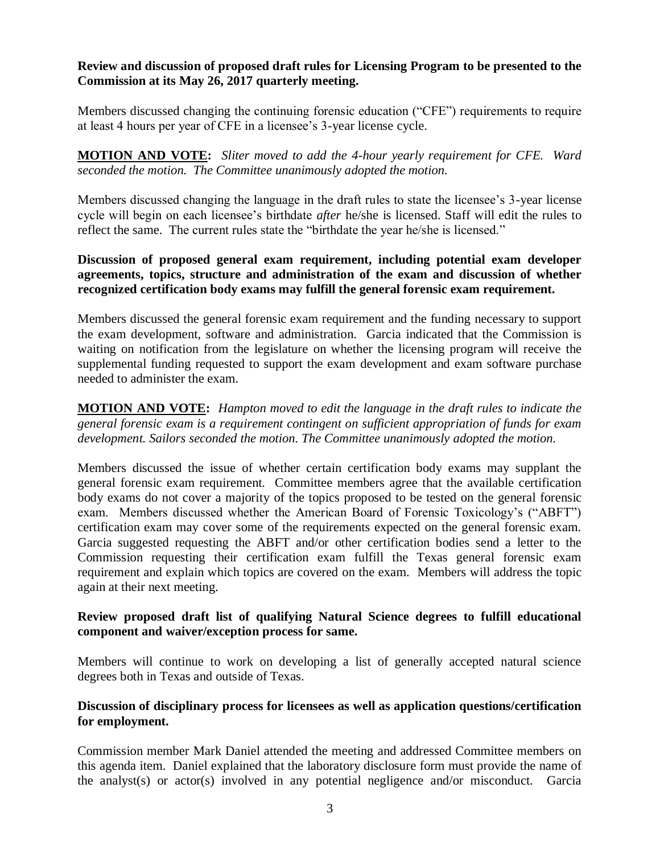## **Review and discussion of proposed draft rules for Licensing Program to be presented to the Commission at its May 26, 2017 quarterly meeting.**

Members discussed changing the continuing forensic education ("CFE") requirements to require at least 4 hours per year of CFE in a licensee's 3-year license cycle.

**MOTION AND VOTE:** *Sliter moved to add the 4-hour yearly requirement for CFE. Ward seconded the motion. The Committee unanimously adopted the motion.* 

Members discussed changing the language in the draft rules to state the licensee's 3-year license cycle will begin on each licensee's birthdate *after* he/she is licensed. Staff will edit the rules to reflect the same. The current rules state the "birthdate the year he/she is licensed."

# **Discussion of proposed general exam requirement, including potential exam developer agreements, topics, structure and administration of the exam and discussion of whether recognized certification body exams may fulfill the general forensic exam requirement.**

Members discussed the general forensic exam requirement and the funding necessary to support the exam development, software and administration. Garcia indicated that the Commission is waiting on notification from the legislature on whether the licensing program will receive the supplemental funding requested to support the exam development and exam software purchase needed to administer the exam.

**MOTION AND VOTE:** *Hampton moved to edit the language in the draft rules to indicate the general forensic exam is a requirement contingent on sufficient appropriation of funds for exam development. Sailors seconded the motion. The Committee unanimously adopted the motion.*

Members discussed the issue of whether certain certification body exams may supplant the general forensic exam requirement. Committee members agree that the available certification body exams do not cover a majority of the topics proposed to be tested on the general forensic exam. Members discussed whether the American Board of Forensic Toxicology's ("ABFT") certification exam may cover some of the requirements expected on the general forensic exam. Garcia suggested requesting the ABFT and/or other certification bodies send a letter to the Commission requesting their certification exam fulfill the Texas general forensic exam requirement and explain which topics are covered on the exam. Members will address the topic again at their next meeting.

## **Review proposed draft list of qualifying Natural Science degrees to fulfill educational component and waiver/exception process for same.**

Members will continue to work on developing a list of generally accepted natural science degrees both in Texas and outside of Texas.

# **Discussion of disciplinary process for licensees as well as application questions/certification for employment.**

Commission member Mark Daniel attended the meeting and addressed Committee members on this agenda item. Daniel explained that the laboratory disclosure form must provide the name of the analyst(s) or actor(s) involved in any potential negligence and/or misconduct. Garcia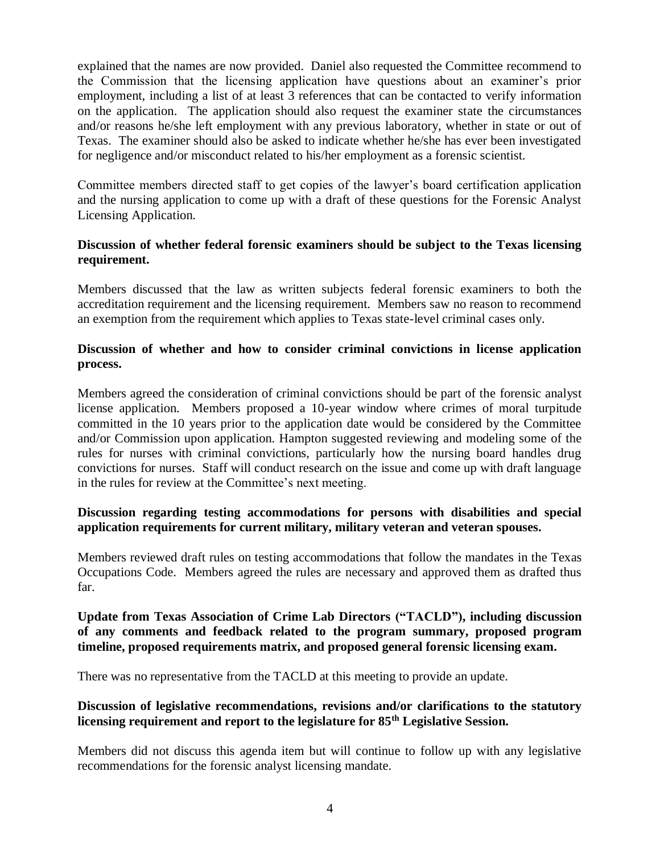explained that the names are now provided. Daniel also requested the Committee recommend to the Commission that the licensing application have questions about an examiner's prior employment, including a list of at least 3 references that can be contacted to verify information on the application. The application should also request the examiner state the circumstances and/or reasons he/she left employment with any previous laboratory, whether in state or out of Texas. The examiner should also be asked to indicate whether he/she has ever been investigated for negligence and/or misconduct related to his/her employment as a forensic scientist.

Committee members directed staff to get copies of the lawyer's board certification application and the nursing application to come up with a draft of these questions for the Forensic Analyst Licensing Application.

## **Discussion of whether federal forensic examiners should be subject to the Texas licensing requirement.**

Members discussed that the law as written subjects federal forensic examiners to both the accreditation requirement and the licensing requirement. Members saw no reason to recommend an exemption from the requirement which applies to Texas state-level criminal cases only.

## **Discussion of whether and how to consider criminal convictions in license application process.**

Members agreed the consideration of criminal convictions should be part of the forensic analyst license application. Members proposed a 10-year window where crimes of moral turpitude committed in the 10 years prior to the application date would be considered by the Committee and/or Commission upon application. Hampton suggested reviewing and modeling some of the rules for nurses with criminal convictions, particularly how the nursing board handles drug convictions for nurses. Staff will conduct research on the issue and come up with draft language in the rules for review at the Committee's next meeting.

## **Discussion regarding testing accommodations for persons with disabilities and special application requirements for current military, military veteran and veteran spouses.**

Members reviewed draft rules on testing accommodations that follow the mandates in the Texas Occupations Code. Members agreed the rules are necessary and approved them as drafted thus far.

### **Update from Texas Association of Crime Lab Directors ("TACLD"), including discussion of any comments and feedback related to the program summary, proposed program timeline, proposed requirements matrix, and proposed general forensic licensing exam.**

There was no representative from the TACLD at this meeting to provide an update.

## **Discussion of legislative recommendations, revisions and/or clarifications to the statutory licensing requirement and report to the legislature for 85th Legislative Session.**

Members did not discuss this agenda item but will continue to follow up with any legislative recommendations for the forensic analyst licensing mandate.